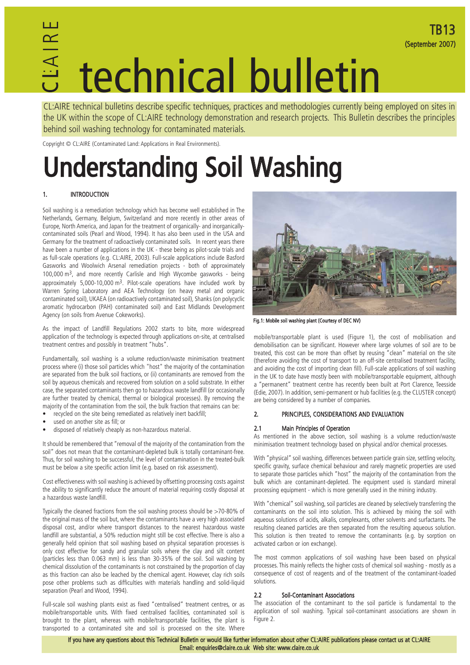### CL :AIRE technical bulletin

CL:AIRE technical bulletins describe specific techniques, practices and methodologies currently being employed on sites in the UK within the scope of CL:AIRE technology demonstration and research projects. This Bulletin describes the principles behind soil washing technology for contaminated materials.

Copyright © CL:AIRE (Contaminated Land: Applications in Real Environments).

### Understanding Soil Washing

#### 1. INTRODUCTION

Soil washing is a remediation technology which has become well established in The Netherlands, Germany, Belgium, Switzerland and more recently in other areas of Europe, North America, and Japan for the treatment of organically- and inorganicallycontaminated soils (Pearl and Wood, 1994). It has also been used in the USA and Germany for the treatment of radioactively contaminated soils. In recent years there have been a number of applications in the UK - these being as pilot-scale trials and as full-scale operations (e.g. CL:AIRE, 2003). Full-scale applications include Basford Gasworks and Woolwich Arsenal remediation projects - both of approximately 100,000 m3, and more recently Carlisle and High Wycombe gasworks - being approximately 5,000-10,000 m3. Pilot-scale operations have included work by Warren Spring Laboratory and AEA Technology (on heavy metal and organic contaminated soil), UKAEA (on radioactively contaminated soil), Shanks (on polycyclic aromatic hydrocarbon (PAH) contaminated soil) and East Midlands Development Agency (on soils from Avenue Cokeworks).

As the impact of Landfill Regulations 2002 starts to bite, more widespread application of the technology is expected through applications on-site, at centralised treatment centres and possibly in treatment "hubs".

Fundamentally, soil washing is a volume reduction/waste minimisation treatment process where (i) those soil particles which "host" the majority of the contamination are separated from the bulk soil fractions, or (ii) contaminants are removed from the soil by aqueous chemicals and recovered from solution on a solid substrate. In either case, the separated contaminants then go to hazardous waste landfill (or occasionally are further treated by chemical, thermal or biological processes). By removing the majority of the contamination from the soil, the bulk fraction that remains can be:

- recycled on the site being remediated as relatively inert backfill;
- used on another site as fill; or
- disposed of relatively cheaply as non-hazardous material.

It should be remembered that "removal of the majority of the contamination from the soil" does not mean that the contaminant-depleted bulk is totally contaminant-free. Thus, for soil washing to be successful, the level of contamination in the treated-bulk must be below a site specific action limit (e.g. based on risk assessment).

Cost effectiveness with soil washing is achieved by offsetting processing costs against the ability to significantly reduce the amount of material requiring costly disposal at a hazardous waste landfill.

Typically the cleaned fractions from the soil washing process should be >70-80% of the original mass of the soil but, where the contaminants have a very high associated disposal cost, and/or where transport distances to the nearest hazardous waste landfill are substantial, a 50% reduction might still be cost effective. There is also a generally held opinion that soil washing based on physical separation processes is only cost effective for sandy and granular soils where the clay and silt content (particles less than 0.063 mm) is less than 30-35% of the soil. Soil washing by chemical dissolution of the contaminants is not constrained by the proportion of clay as this fraction can also be leached by the chemical agent. However, clay rich soils pose other problems such as difficulties with materials handling and solid-liquid separation (Pearl and Wood, 1994).

Full-scale soil washing plants exist as fixed "centralised" treatment centres, or as mobile/transportable units. With fixed centralised facilities, contaminated soil is brought to the plant, whereas with mobile/transportable facilities, the plant is transported to a contaminated site and soil is processed on the site. Where



TB13

(September 2007)

Fig.1: Mobile soil washing plant (Courtesy of DEC NV)

mobile/transportable plant is used (Figure 1), the cost of mobilisation and demobilisation can be significant. However where large volumes of soil are to be treated, this cost can be more than offset by reusing "clean" material on the site (therefore avoiding the cost of transport to an off-site centralised treatment facility, and avoiding the cost of importing clean fill). Full-scale applications of soil washing in the UK to date have mostly been with mobile/transportable equipment, although a "permanent" treatment centre has recently been built at Port Clarence, Teesside (Edie, 2007). In addition, semi-permanent or hub facilities (e.g. the CLUSTER concept) are being considered by a number of companies.

#### 2. PRINCIPLES, CONSIDERATIONS AND EVALUATION

#### 2.1 Main Principles of Operation

As mentioned in the above section, soil washing is a volume reduction/waste minimisation treatment technology based on physical and/or chemical processes.

With "physical" soil washing, differences between particle grain size, settling velocity, specific gravity, surface chemical behaviour and rarely magnetic properties are used to separate those particles which "host" the majority of the contamination from the bulk which are contaminant-depleted. The equipment used is standard mineral processing equipment - which is more generally used in the mining industry.

With "chemical" soil washing, soil particles are cleaned by selectively transferring the contaminants on the soil into solution. This is achieved by mixing the soil with aqueous solutions of acids, alkalis, complexants, other solvents and surfactants. The resulting cleaned particles are then separated from the resulting aqueous solution. This solution is then treated to remove the contaminants (e.g. by sorption on activated carbon or ion exchange).

The most common applications of soil washing have been based on physical processes. This mainly reflects the higher costs of chemical soil washing - mostly as a consequence of cost of reagents and of the treatment of the contaminant-loaded solutions.

#### 2.2 Soil-Contaminant Associations

The association of the contaminant to the soil particle is fundamental to the application of soil washing. Typical soil-contaminant associations are shown in Figure 2.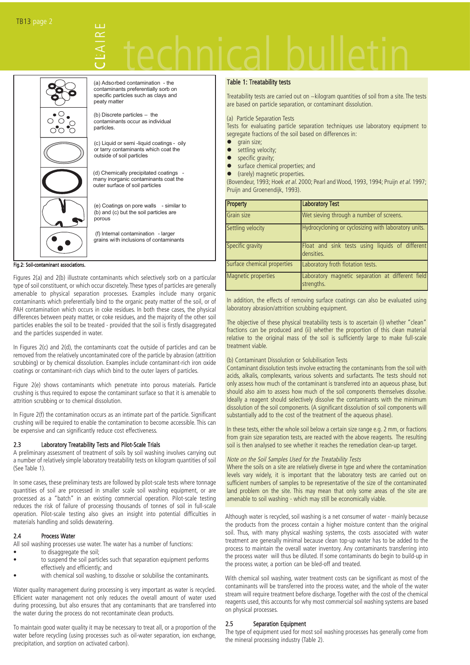# technical bulletin



(a) Adsorbed contamination - the contaminants preferentially sorb on specific particles such as clays and peaty matter

 $\cup$ L

:AIRE

(b) Discrete particles – the contaminants occur as individual particles.

(c) Liquid or semi -liquid coatings - oily or tarry contaminants which coat the outside of soil particles

(d) Chemically precipitated coatings many inorganic contaminants coat the outer surface of soil particles

(e) Coatings on pore walls - similar to (b) and (c) but the soil particles are porous

 (f) Internal contamination - larger grains with inclusions of contaminants

Fig.2: Soil-contaminant associations.

Figures 2(a) and 2(b) illustrate contaminants which selectively sorb on a particular type of soil constituent, or which occur discretely.These types of particles are generally amenable to physical separation processes. Examples include many organic contaminants which preferentially bind to the organic peaty matter of the soil, or of PAH contamination which occurs in coke residues. In both these cases, the physical differences between peaty matter, or coke residues, and the majority of the other soil particles enables the soil to be treated - provided that the soil is firstly disaggregated and the particles suspended in water.

In Figures 2(c) and 2(d), the contaminants coat the outside of particles and can be removed from the relatively uncontaminated core of the particle by abrasion (attrition scrubbing) or by chemical dissolution. Examples include contaminant-rich iron oxide coatings or contaminant-rich clays which bind to the outer layers of particles.

Figure 2(e) shows contaminants which penetrate into porous materials. Particle crushing is thus required to expose the contaminant surface so that it is amenable to attrition scrubbing or to chemical dissolution.

In Figure 2(f) the contamination occurs as an intimate part of the particle. Significant crushing will be required to enable the contamination to become accessible. This can be expensive and can significantly reduce cost effectiveness.

#### 2.3 Laboratory Treatability Tests and Pilot-Scale Trials

A preliminary assessment of treatment of soils by soil washing involves carrying out a number of relatively simple laboratory treatability tests on kilogram quantities of soil (See Table 1).

In some cases, these preliminary tests are followed by pilot-scale tests where tonnage quantities of soil are processed in smaller scale soil washing equipment, or are processed as a "batch" in an existing commercial operation. Pilot-scale testing reduces the risk of failure of processing thousands of tonnes of soil in full-scale operation. Pilot-scale testing also gives an insight into potential difficulties in materials handling and solids dewatering.

#### 2.4 Process Water

All soil washing processes use water. The water has a number of functions:

- to disaggregate the soil;
- to suspend the soil particles such that separation equipment performs effectively and efficiently; and
- with chemical soil washing, to dissolve or solubilise the contaminants.

Water quality management during processing is very important as water is recycled. Efficient water management not only reduces the overall amount of water used during processing, but also ensures that any contaminants that are transferred into the water during the process do not recontaminate clean products.

To maintain good water quality it may be necessary to treat all, or a proportion of the water before recycling (using processes such as oil-water separation, ion exchange, precipitation, and sorption on activated carbon).

#### Table 1: Treatability tests

Treatability tests are carried out on ~kilogram quantities of soil from a site. The tests are based on particle separation, or contaminant dissolution.

(a) Particle Separation Tests

Tests for evaluating particle separation techniques use laboratory equipment to segregate fractions of the soil based on differences in:

- grain size;
- settling velocity;
- specific gravity;
- surface chemical properties; and
- (rarely) magnetic properties.

(Bovendeur, 1993; Hoek et al. 2000; Pearl and Wood, 1993, 1994; Pruijn et al. 1997; Pruijn and Groenendijk, 1993).

| Property                    | <b>Laboratory Test</b>                                          |
|-----------------------------|-----------------------------------------------------------------|
| Grain size                  | Wet sieving through a number of screens.                        |
| Settling velocity           | Hydrocycloning or cyclosizing with laboratory units.            |
| Specific gravity            | Float and sink tests using liquids of different<br>densities.   |
| Surface chemical properties | Laboratory froth flotation tests.                               |
| Magnetic properties         | Laboratory magnetic separation at different field<br>strengths. |

In addition, the effects of removing surface coatings can also be evaluated using laboratory abrasion/attrition scrubbing equipment.

The objective of these physical treatability tests is to ascertain (i) whether "clean" fractions can be produced and (ii) whether the proportion of this clean material relative to the original mass of the soil is sufficiently large to make full-scale treatment viable.

#### (b) Contaminant Dissolution or Solubilisation Tests

Contaminant dissolution tests involve extracting the contaminants from the soil with acids, alkalis, complexants, various solvents and surfactants. The tests should not only assess how much of the contaminant is transferred into an aqueous phase, but should also aim to assess how much of the soil components themselves dissolve. Ideally a reagent should selectively dissolve the contaminants with the minimum dissolution of the soil components. (A significant dissolution of soil components will substantially add to the cost of the treatment of the aqueous phase).

In these tests, either the whole soil below a certain size range e.g. 2 mm, or fractions from grain size separation tests, are reacted with the above reagents. The resulting soil is then analysed to see whether it reaches the remediation clean-up target.

#### Note on the Soil Samples Used for the Treatability Tests

Where the soils on a site are relatively diverse in type and where the contamination levels vary widely, it is important that the laboratory tests are carried out on sufficient numbers of samples to be representative of the size of the contaminated land problem on the site. This may mean that only some areas of the site are amenable to soil washing - which may still be economically viable.

Although water is recycled, soil washing is a net consumer of water - mainly because the products from the process contain a higher moisture content than the original soil. Thus, with many physical washing systems, the costs associated with water treatment are generally minimal because clean top-up water has to be added to the process to maintain the overall water inventory. Any contaminants transferring into the process water will thus be diluted. If some contaminants do begin to build-up in the process water, a portion can be bled-off and treated.

With chemical soil washing, water treatment costs can be significant as most of the contaminants will be transferred into the process water, and the whole of the water stream will require treatment before discharge. Together with the cost of the chemical reagents used, this accounts for why most commercial soil washing systems are based on physical processes.

#### 2.5 Separation Equipment

The type of equipment used for most soil washing processes has generally come from the mineral processing industry (Table 2).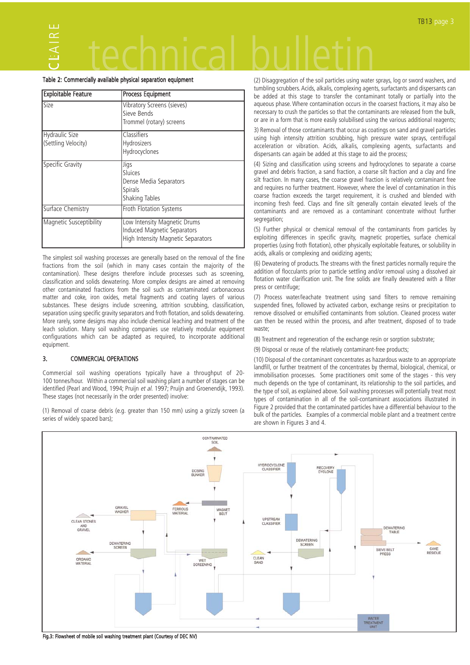#### $\bm{\cup}$ L:AIRE technical bulletin

#### Table 2: Commercially available physical separation equipment

| <b>Exploitable Feature</b>            | <b>Process Equipment</b>                                                                          |
|---------------------------------------|---------------------------------------------------------------------------------------------------|
| Size                                  | Vibratory Screens (sieves)<br>Sieve Bends<br>Trommel (rotary) screens                             |
| Hydraulic Size<br>(Settling Velocity) | Classifiers<br>Hydrosizers<br>Hydrocyclones                                                       |
| Specific Gravity                      | Jigs<br>Sluices<br>Dense Media Separators<br><b>Spirals</b><br><b>Shaking Tables</b>              |
| Surface Chemistry                     | Froth Flotation Systems                                                                           |
| Magnetic Susceptibility               | Low Intensity Magnetic Drums<br>Induced Magnetic Separators<br>High Intensity Magnetic Separators |

The simplest soil washing processes are generally based on the removal of the fine fractions from the soil (which in many cases contain the majority of the contamination). These designs therefore include processes such as screening, classification and solids dewatering. More complex designs are aimed at removing other contaminated fractions from the soil such as contaminated carbonaceous matter and coke, iron oxides, metal fragments and coating layers of various substances. These designs include screening, attrition scrubbing, classification, separation using specific gravity separators and froth flotation, and solids dewatering. More rarely, some designs may also include chemical leaching and treatment of the leach solution. Many soil washing companies use relatively modular equipment configurations which can be adapted as required, to incorporate additional equipment.

#### 3. COMMERCIAL OPERATIONS

Commercial soil washing operations typically have a throughput of 20- 100 tonnes/hour. Within a commercial soil washing plant a number of stages can be identified (Pearl and Wood, 1994; Pruijn et al. 1997; Pruijn and Groenendijk, 1993). These stages (not necessarily in the order presented) involve:

(1) Removal of coarse debris (e.g. greater than 150 mm) using a grizzly screen (a series of widely spaced bars);

(2) Disaggregation of the soil particles using water sprays, log or sword washers, and tumbling scrubbers. Acids, alkalis, complexing agents, surfactants and dispersants can be added at this stage to transfer the contaminant totally or partially into the aqueous phase. Where contamination occurs in the coarsest fractions, it may also be necessary to crush the particles so that the contaminants are released from the bulk, or are in a form that is more easily solubilised using the various additional reagents;

3) Removal of those contaminants that occur as coatings on sand and gravel particles using high intensity attrition scrubbing, high pressure water sprays, centrifugal acceleration or vibration. Acids, alkalis, complexing agents, surfactants and dispersants can again be added at this stage to aid the process;

(4) Sizing and classification using screens and hydrocyclones to separate a coarse gravel and debris fraction, a sand fraction, a coarse silt fraction and a clay and fine silt fraction. In many cases, the coarse gravel fraction is relatively contaminant free and requires no further treatment. However, where the level of contamination in this coarse fraction exceeds the target requirement, it is crushed and blended with incoming fresh feed. Clays and fine silt generally contain elevated levels of the contaminants and are removed as a contaminant concentrate without further segregation;

(5) Further physical or chemical removal of the contaminants from particles by exploiting differences in specific gravity, magnetic properties, surface chemical properties (using froth flotation), other physically exploitable features, or solubility in acids, alkalis or complexing and oxidizing agents;

(6) Dewatering of products. The streams with the finest particles normally require the addition of flocculants prior to particle settling and/or removal using a dissolved air flotation water clarification unit. The fine solids are finally dewatered with a filter press or centrifuge;

(7) Process water/leachate treatment using sand filters to remove remaining suspended fines, followed by activated carbon, exchange resins or precipitation to remove dissolved or emulsified contaminants from solution. Cleaned process water can then be reused within the process, and after treatment, disposed of to trade waste;

(8) Treatment and regeneration of the exchange resin or sorption substrate;

(9) Disposal or reuse of the relatively contaminant-free products;

(10) Disposal of the contaminant concentrates as hazardous waste to an appropriate landfill, or further treatment of the concentrates by thermal, biological, chemical, or immobilisation processes. Some practitioners omit some of the stages - this very much depends on the type of contaminant, its relationship to the soil particles, and the type of soil, as explained above. Soil washing processes will potentially treat most types of contamination in all of the soil-contaminant associations illustrated in Figure 2 provided that the contaminated particles have a differential behaviour to the bulk of the particles. Examples of a commercial mobile plant and a treatment centre are shown in Figures 3 and 4.



Fig.3: Flowsheet of mobile soil washing treatment plant (Courtesy of DEC NV)